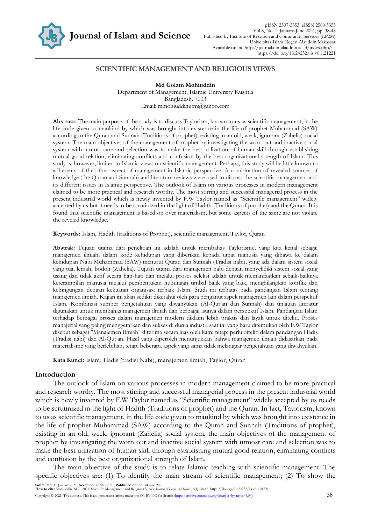

## **SCIENTIFIC MANAGEMENT AND RELIGIOUS VIEWS**

**Md Golam Mohiuddin** Department of Management, Islamic University Kushtia Bangladesh. 7003 Email: mmohiuddinutm@yahoo.com

**Abstract:** The main purpose of the study is to discuss Taylorism, known to us as scientific management, in the life code given to mankind by which was brought into existence in the life of prophet Muhammad (SAW) according to the Quran and Sunnah (Traditions of prophet), existing in an old, weak, ignorant (Zahelia) social system. The main objectives of the management of prophet by investigating the worn out and inactive social system with utmost care and selection was to make the best utilization of human skill through establishing mutual good relation, eliminating conflicts and confusion by the best organizational strength of Islam. This study is, however, limited to Islamic views on scientific management. Perhaps, this study will be little known to adherents of the other aspect of management in Islamic perspective. A combination of revealed sources of knowledge (the Quran and Sunnah) and literature reviews were used to discuss the scientific management and its different issues in Islamic perspective. The outlook of Islam on various processes in modern management claimed to be more practical and research worthy. The most stirring and successful managerial process in the present industrial world which is newly invented by F.W Taylor named as "Scientific management" widely accepted by us but it needs to be scrutinized in the light of Hadith (Traditions of prophet) and the Quran. It is found that scientific management is based on over materialism, but some aspects of the same are not violate the reveled knowledge.

**Keywords:** Islam, Hadith (traditions of Prophet), scientific management, Taylor, Quran

**Abstrak:** Tujuan utama dari penelitian ini adalah untuk membahas Taylorisme, yang kita kenal sebagai manajemen ilmiah, dalam kode kehidupan yang diberikan kepada umat manusia yang dibawa ke dalam kehidupan Nabi Muhammad (SAW) menurut Quran dan Sunnah (Tradisi nabi), yang ada dalam sistem sosial yang tua, lemah, bodoh (Zahelia). Tujuan utama dari manajemen nabi dengan menyelidiki sistem sosial yang usang dan tidak aktif secara hati-hati dan melalui proses seleksi adalah untuk memanfaatkan sebaik-baiknya keterampilan manusia melalui pembentukan hubungan timbal balik yang baik, menghilangkan konflik dan kebingungan dengan kekuatan organisasi terbaik Islam. Studi ini terbatas pada pandangan Islam tentang manajemen ilmiah. Kajian ini akan sedikit diketahui oleh para penganut aspek manajemen lain dalam perspektif Islam. Kombinasi sumber pengetahuan yang diwahyukan (Al-Qur'an dan Sunnah) dan tinjauan literatur digunakan untuk membahas manajemen ilmiah dan berbagai isunya dalam perspektif Islam. Pandangan Islam terhadap berbagai proses dalam manajemen modern diklaim lebih praktis dan layak untuk diteliti. Proses manajerial yang paling menggetarkan dan sukses di dunia industri saat ini yang baru ditemukan oleh F.W Taylor disebut sebagai "Manajemen Ilmiah" diterima secara luas oleh kami tetapi perlu diteliti dalam pandangan Hadis (Tradisi nabi) dan Al-Qur'an. Hasil yang diperoleh menunjukkan bahwa manajemen ilmiah didasarkan pada materialisme yang berlebihan, tetapi beberapa aspek yang sama tidak melanggar pengetahuan yang diwahyukan.

**Kata Kunci:** Islam, Hadis (tradisi Nabi), manajemen ilmiah, Taylor, Quran

## **Introduction**

The outlook of Islam on various processes in modern management claimed to be more practical and research worthy. The most stirring and successful managerial process in the present industrial world which is newly invented by F.W Taylor named as "Scientific management" widely accepted by us needs to be scrutinized in the light of Hadith (Traditions of prophet) and the Quran. In fact, Taylorism, known to us as scientific management, in the life code given to mankind by which was brought into existence in the life of prophet Muhammad (SAW) according to the Quran and Sunnah (Traditions of prophet), existing in an old, week, ignorant (Zahelia) social system, the main objectives of the management of prophet by investigating the worn out and inactive social system with utmost care and selection was to make the best utilization of human skill through establishing mutual good relation, eliminating conflicts and confusion by the best organizational strength of Islam.

The main objective of the study is to relate Islamic teaching with scientific management. The specific objectives are: (1) To identify the main stream of scientific management; (2) To show the

**Submitted:** 12 January 2021; **Accepted:** 31 May 2021; **Published online:** 30 June 2021 **How to cite:** Mohiuddin, M.G. 2021. Scientific Management and Religious Views. *Journal of Islam and Science*, 8(1), 38-48. https://doi.org/10.24252/jis.v8i1.21221. Copyright © 2021. The authors. This is an open access article under the CC BY-NC-SA license [\(http://creativecommons.org/licenses/by-nc-sa/4.0/\)](http://creativecommons.org/licenses/by-nc-sa/4.0/) 38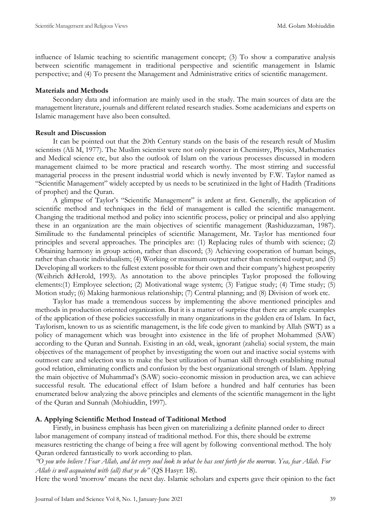influence of Islamic teaching to scientific management concept; (3) To show a comparative analysis between scientific management in traditional perspective and scientific management in Islamic perspective; and (4) To present the Management and Administrative critics of scientific management.

#### **Materials and Methods**

Secondary data and information are mainly used in the study. The main sources of data are the management literature, journals and different related research studies. Some academicians and experts on Islamic management have also been consulted.

#### **Result and Discussion**

It can be pointed out that the 20th Century stands on the basis of the research result of Muslim scientists (Ali M, 1977). The Muslim scientist were not only pioneer in Chemistry, Physics, Mathematics and Medical science etc, but also the outlook of Islam on the various processes discussed in modern management claimed to be more practical and research worthy. The most stirring and successful managerial process in the present industrial world which is newly invented by F.W. Taylor named as "Scientific Management" widely accepted by us needs to be scrutinized in the light of Hadith (Traditions of prophet) and the Quran.

A glimpse of Taylor's "Scientific Management" is ardent at first. Generally, the application of scientific method and techniques in the field of management is called the scientific management. Changing the traditional method and policy into scientific process, policy or principal and also applying these in an organization are the main objectives of scientific management (Rashiduzzaman, 1987). Similitude to the fundamental principles of scientific Management, Mr. Taylor has mentioned four principles and several approaches. The principles are: (1) Replacing rules of thumb with science; (2) Obtaining harmony in group action, rather than discord; (3) Achieving cooperation of human beings, rather than chaotic individualism; (4) Working or maximum output rather than restricted output; and (5) Developing all workers to the fullest extent possible for their own and their company's highest prosperity (Weihrich &Herold, 1993). As annotation to the above principles Taylor proposed the following elements:(1) Employee selection; (2) Motivational wage system; (3) Fatigue study; (4) Time study; (5) Motion study; (6) Making harmonious relationship; (7) Central planning; and (8) Division of work etc.

Taylor has made a tremendous success by implementing the above mentioned principles and methods in production oriented organization. But it is a matter of surprise that there are ample examples of the application of these policies successfully in many organizations in the golden era of Islam. In fact, Taylorism, known to us as scientific management, is the life code given to mankind by Allah (SWT) as a policy of management which was brought into existence in the life of prophet Mohammed (SAW) according to the Quran and Sunnah. Existing in an old, weak, ignorant (zahelia) social system, the main objectives of the management of prophet by investigating the worn out and inactive social systems with outmost care and selection was to make the best utilization of human skill through establishing mutual good relation, eliminating conflicts and confusion by the best organizational strength of Islam. Applying the main objective of Muhammad's (SAW) socio-economic mission in production area, we can achieve successful result. The educational effect of Islam before a hundred and half centuries has been enumerated below analyzing the above principles and elements of the scientific management in the light of the Quran and Sunnah (Mohiuddin, 1997).

### **A. Applying Scientific Method Instead of Taditional Method**

Firstly, in business emphasis has been given on materializing a definite planned order to direct labor management of company instead of traditional method. For this, there should be extreme measures restricting the change of being a free will agent by following conventional method. The holy Quran ordered fantastically to work according to plan.

*"O you who believe ! Fear Allah, and let every soul look to what he has sent forth for the morrow. Yea, fear Allah. For Allah is well acquainted with (all) that ye do"* (QS Hasyr: 18).

Here the word 'morrow' means the next day. Islamic scholars and experts gave their opinion to the fact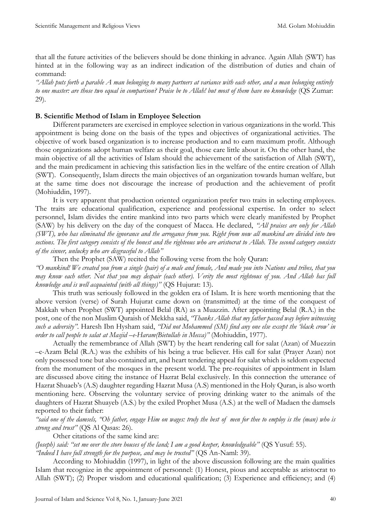that all the future activities of the believers should be done thinking in advance. Again Allah (SWT) has hinted at in the following way as an indirect indication of the distribution of duties and chain of command:

*"Allah puts forth a parable A man belonging to many partners at variance with each other, and a man belonging entirely to one master: are those two equal in comparison? Praise be to Allah! but most of them have no knowledge* (QS Zumar: 29).

## **B. Scientific Method of Islam in Employee Selection**

Different parameters are exercised in employee selection in various organizations in the world. This appointment is being done on the basis of the types and objectives of organizational activities. The objective of work based organization is to increase production and to earn maximum profit. Although those organizations adopt human welfare as their goal, those care little about it. On the other hand, the main objective of all the activities of Islam should the achievement of the satisfaction of Allah (SWT), and the main predicament in achieving this satisfaction lies in the welfare of the entire creation of Allah (SWT). Consequently, Islam directs the main objectives of an organization towards human welfare, but at the same time does not discourage the increase of production and the achievement of profit (Mohiuddin, 1997).

It is very apparent that production oriented organization prefer two traits in selecting employees. The traits are educational qualification, experience and professional expertise. In order to select personnel, Islam divides the entire mankind into two parts which were clearly manifested by Prophet (SAW) by his delivery on the day of the conquest of Macca. He declared, *"All praises are only for Allah (SWT), who has eliminated the ignorance and the arrogance from you. Right from now all mankind are divided into two sections. The first category consists of the honest and the righteous who are aristocrat to Allah. The second category consists of the sinner, unlucky who are disgraceful to Allah"* 

Then the Prophet (SAW) recited the following verse from the holy Quran:

*"O mankind! We created you from a single (pair) of a male and female, And made you into Nations and tribes, that you may know each other. Not that you may despair (each other). Verity the most righteous of you. And Allah has full knowledge and is well acquainted (with all things)"* (QS Hujurat: 13).

This truth was seriously followed in the golden era of Islam. It is here worth mentioning that the above version (verse) of Surah Hujurat came down on (transmitted) at the time of the conquest of Makkah when Prophet (SWT) appointed Belal (RA) as a Muazzin. After appointing Belal (R.A.) in the post, one of the non Muslim Quraish of Mekkha said, *"Thanks Allah that my father passed way before witnessing such a adversity"*. Haresh Ibn Hysham said, *"Did not Mohammed (SM) find any one else except the 'black crow' in order to call people to salat at Masjid –e-Haram(Bietullah in Mecca)"* (Mohiuddin, 1977).

Actually the remembrance of Allah (SWT) by the heart rendering call for salat (Azan) of Muezzin –e-Azam Belal (R.A.) was the exhibits of his being a true believer. His call for salat (Prayer Azan) not only possessed tone but also contained art, and heart tendering appeal for salat which is seldom expected from the monument of the mosques in the present world. The pre-requisites of appointment in Islam are discussed above citing the instance of Hazrat Belal exclusively. In this connection the utterance of Hazrat Shuaeb's (A.S) daughter regarding Hazrat Musa (A.S) mentioned in the Holy Quran, is also worth mentioning here. Observing the voluntary service of proving drinking water to the animals of the daughters of Hazrat Shuayeb (A.S.) by the exiled Prophet Musa (A.S.) at the well of Madaen the damsels reported to their father:

"said one of the damsels, "Oh father, engage Him on wages: truly the best of men for thee to employ is the (man) who is *strong and trust"* (QS Al Qasas: 26).

Other citations of the same kind are:

*(Joseph) said: "set me over the store houses of the land; I am a good keeper, knowledgeable"* (QS Yusuf: 55).

*"Indeed I have full strength for the purpose, and may be trusted"* (QS An-Naml: 39).

According to Mohiuddin (1997), in light of the above discussion following are the main qualities Islam that recognize in the appointment of personnel: (1) Honest, pious and acceptable as aristocrat to Allah (SWT); (2) Proper wisdom and educational qualification; (3) Experience and efficiency; and (4)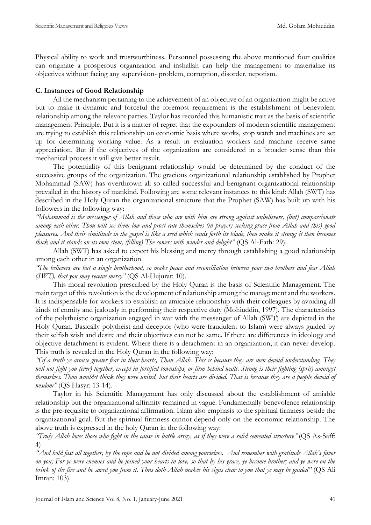Physical ability to work and trustworthiness. Personnel possessing the above mentioned four qualities can originate a prosperous organization and inshallah can help the management to materialize its objectives without facing any supervision- problem, corruption, disorder, nepotism.

# **C. Instances of Good Relationship**

All the mechanism pertaining to the achievement of an objective of an organization might be active but to make it dynamic and forceful the foremost requirement is the establishment of benevolent relationship among the relevant parties. Taylor has recorded this humanistic trait as the basis of scientific management Principle. But it is a matter of regret that the expounders of modern scientific management are trying to establish this relationship on economic basis where works, stop watch and machines are set up for determining working value. As a result in evaluation workers and machine receive same appreciation. But if the objectives of the organization are considered in a broader sense than this mechanical process it will give better result.

The potentiality of this benignant relationship would be determined by the conduct of the successive groups of the organization. The gracious organizational relationship established by Prophet Mohammad (SAW) has overthrown all so called successful and benignant organizational relationship prevailed in the history of mankind. Following are some relevant instances to this kind: Allah (SWT) has described in the Holy Quran the organizational structure that the Prophet (SAW) has built up with his followers in the following way:

*"Mohammad is the messenger of Allah and those who are with him are strong against unbelievers, (but) compassionate among each other. Thou wilt see them low and prost rate themselves (in prayer) seeking grace from Allah and (his) good pleasures. And their similitude in the gospel is like a seed which sends forth its blade, then make it strong; it then becomes thick and it stands on its own stem, (filling) The sowers with winder and delight"* (QS Al-Fath: 29).

Allah (SWT) has asked to expect his blessing and mercy through establishing a good relationship among each other in an organization.

*"The believers are but a single brotherhood, so make peace and reconciliation between your two brothers and fear Allah (SWT), that you may receive mercy"* (QS Al-Hujurat: 10).

This moral revolution prescribed by the Holy Quran is the basis of Scientific Management. The main target of this revolution is the development of relationship among the management and the workers. It is indispensable for workers to establish an amicable relationship with their colleagues by avoiding all kinds of enmity and jealously in performing their respective duty (Mohiuddin, 1997). The characteristics of the polytheistic organization engaged in war with the messenger of Allah (SWT) are depicted in the Holy Quran. Basically polytheist and deceptor (who were fraudulent to Islam) were always guided by their selfish wish and desire and their objectives can not be same. If there are differences in ideology and objective detachment is evident. Where there is a detachment in an organization, it can never develop. This truth is revealed in the Holy Quran in the following way:

*"Of a truth ye arouse greater fear in their hearts, Than Allah. This is because they are men devoid understanding. They will not fight you (ever) together, except in fortified townships, or firm behind walls. Strong is their fighting (sprit) amongst themselves. Thou wouldst think they were united, but their hearts are divided. That is because they are a people devoid of wisdom"* (QS Hasyr: 13-14).

Taylor in his Scientific Management has only discussed about the establishment of amiable relationship but the organizational affirmity remained in vague. Fundamentally benevolence relationship is the pre-requisite to organizational affirmation. Islam also emphasis to the spiritual firmness beside the organizational goal. But the spiritual firmness cannot depend only on the economic relationship. The above truth is expressed in the holy Quran in the following way:

*"Truly Allah loves those who fight in the cause in battle array, as if they were a solid cemented structure"* (QS As-Saff: 4)

*"And hold fast all together, by the rope and be not divided among yourselves. And remember with gratitude Allah's favor on you; For ye were enemies and he joined your hearts in love, so that by his grace, ye become brother; and ye were on the brink of the fire and he saved you from it. Thus doth Allah makes his signs clear to you that ye may be guided"* (QS Ali Imran: 103).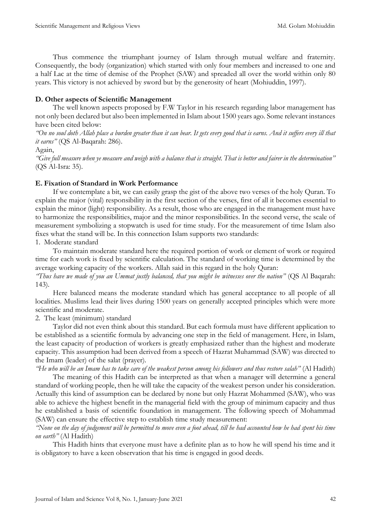Thus commence the triumphant journey of Islam through mutual welfare and fraternity. Consequently, the body (organization) which started with only four members and increased to one and a half Lac at the time of demise of the Prophet (SAW) and spreaded all over the world within only 80 years. This victory is not achieved by sword but by the generosity of heart (Mohiuddin, 1997).

# **D. Other aspects of Scientific Management**

The well known aspects proposed by F.W Taylor in his research regarding labor management has not only been declared but also been implemented in Islam about 1500 years ago. Some relevant instances have been cited below:

*"On no soul doth Allah place a burden greater than it can bear. It gets every good that is earns. And it suffers every ill that it earns"* (QS Al-Baqarah: 286).

Again,

*"Give full measure when ye measure and weigh with a balance that is straight. That is better and fairer in the determination"* (QS Al-Isra: 35).

## **E. Fixation of Standard in Work Performance**

If we contemplate a bit, we can easily grasp the gist of the above two verses of the holy Quran. To explain the major (vital) responsibility in the first section of the verses, first of all it becomes essential to explain the minor (light) responsibility. As a result, those who are engaged in the management must have to harmonize the responsibilities, major and the minor responsibilities. In the second verse, the scale of measurement symbolizing a stopwatch is used for time study. For the measurement of time Islam also fixes what the stand will be. In this connection Islam supports two standards:

1. Moderate standard

To maintain moderate standard here the required portion of work or element of work or required time for each work is fixed by scientific calculation. The standard of working time is determined by the average working capacity of the workers. Allah said in this regard in the holy Quran:

*"Thus have we made of you an Ummat justly balanced, that you might be witnesses over the nation"* (QS Al Baqarah: 143).

Here balanced means the moderate standard which has general acceptance to all people of all localities. Muslims lead their lives during 1500 years on generally accepted principles which were more scientific and moderate.

2. The least (minimum) standard

Taylor did not even think about this standard. But each formula must have different application to be established as a scientific formula by advancing one step in the field of management. Here, in Islam, the least capacity of production of workers is greatly emphasized rather than the highest and moderate capacity. This assumption had been derived from a speech of Hazrat Muhammad (SAW) was directed to the Imam (leader) of the salat (prayer).

*"He who will be an Imam has to take care of the weakest person among his followers and thus restore salah"* (Al Hadith) The meaning of this Hadith can be interpreted as that when a manager will determine a general standard of working people, then he will take the capacity of the weakest person under his consideration. Actually this kind of assumption can be declared by none but only Hazrat Mohammed (SAW), who was able to achieve the highest benefit in the managerial field with the group of minimum capacity and thus

(SAW) can ensure the effective step to establish time study measurement: *"None on the day of judgement will be permitted to move even a foot ahead, till he had accounted how he had spent his time on earth"* (Al Hadith)

he established a basis of scientific foundation in management. The following speech of Mohammad

This Hadith hints that everyone must have a definite plan as to how he will spend his time and it is obligatory to have a keen observation that his time is engaged in good deeds.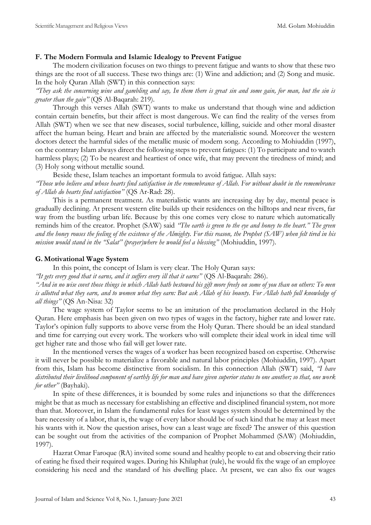# **F. The Modern Formula and Islamic Idealogy to Prevent Fatigue**

The modern civilization focuses on two things to prevent fatigue and wants to show that these two things are the root of all success. These two things are: (1) Wine and addiction; and (2) Song and music. In the holy Quran Allah (SWT) in this connection says:

*"They ask the concerning wine and gambling and say, In them there is great sin and some gain, for man, but the sin is greater than the gain"* (QS Al-Baqarah: 219).

Through this verses Allah (SWT) wants to make us understand that though wine and addiction contain certain benefits, but their affect is most dangerous. We can find the reality of the verses from Allah (SWT) when we see that new diseases, social turbulence, killing, suicide and other moral disaster affect the human being. Heart and brain are affected by the materialistic sound. Moreover the western doctors detect the harmful sides of the metallic music of modern song. According to Mohiuddin (1997), on the contrary Islam always direct the following steps to prevent fatigues: (1) To participate and to watch harmless plays; (2) To be nearest and heartiest of once wife, that may prevent the tiredness of mind; and (3) Holy song without metallic sound.

Beside these, Islam teaches an important formula to avoid fatigue. Allah says: *"Those who believe and whose hearts find satisfaction in the remembrance of Allah. For without doubt in the remembrance of Allah do hearts find satisfaction"* (QS Ar-Rad: 28).

This is a permanent treatment. As materialistic wants are increasing day by day, mental peace is gradually declining. At present western elite builds up their residences on the hilltops and near rivers, far way from the bustling urban life. Because by this one comes very close to nature which automatically reminds him of the creator. Prophet (SAW) said *"The earth is green to the eye and honey to the heart." The green and the honey rouses the feeling of the existence of the Almighty. For this reason, the Prophet (SAW) when felt tired in his mission would stand in the "Salat" (prayer)where he would feel a blessing"* (Mohiuddin, 1997).

## **G. Motivational Wage System**

In this point, the concept of Islam is very clear. The Holy Quran says:

*"It gets every good that it earns, and it suffers every ill that it earns"* (QS Al-Baqarah: 286).

*"And in no wise covet those things in which Allah hath bestowed his gift more freely on some of you than on others: To men is allotted what they earn, and to women what they earn: But ask Allah of his bounty. For Allah hath full knowledge of all things"* (QS An-Nisa: 32)

The wage system of Taylor seems to be an imitation of the proclamation declared in the Holy Quran. Here emphasis has been given on two types of wages in the factory, higher rate and lower rate. Taylor's opinion fully supports to above verse from the Holy Quran. There should be an ideal standard and time for carrying out every work. The workers who will complete their ideal work in ideal time will get higher rate and those who fail will get lower rate.

In the mentioned verses the wages of a worker has been recognized based on expertise. Otherwise it will never be possible to materialize a favorable and natural labor principles (Mohiuddin, 1997). Apart from this, Islam has become distinctive from socialism. In this connection Allah (SWT) said, *"I have distributed their livelihood component of earthly life for man and have given superior status to one another; so that, one work for other"* (Bayhaki).

In spite of these differences, it is bounded by some rules and injunctions so that the differences might be that as much as necessary for establishing an effective and disciplined financial system, not more than that. Moreover, in Islam the fundamental rules for least wages system should be determined by the bare necessity of a labor, that is, the wage of every labor should be of such kind that he may at least meet his wants with it. Now the question arises, how can a least wage are fixed? The answer of this question can be sought out from the activities of the companion of Prophet Mohammed (SAW) (Mohiuddin, 1997).

Hazrat Omar Faroque (RA) invited some sound and healthy people to eat and observing their ratio of eating he fixed their required wages. During his Khilaphat (rule), he would fix the wage of an employee considering his need and the standard of his dwelling place. At present, we can also fix our wages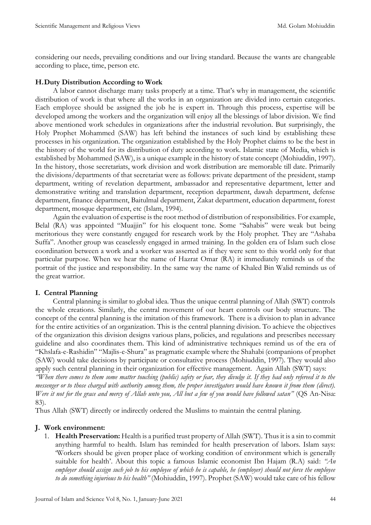considering our needs, prevailing conditions and our living standard. Because the wants are changeable according to place, time, person etc.

## **H.Duty Distribution According to Work**

A labor cannot discharge many tasks properly at a time. That's why in management, the scientific distribution of work is that where all the works in an organization are divided into certain categories. Each employee should be assigned the job he is expert in. Through this process, expertise will be developed among the workers and the organization will enjoy all the blessings of labor division. We find above mentioned work schedules in organizations after the industrial revolution. But surprisingly, the Holy Prophet Mohammed (SAW) has left behind the instances of such kind by establishing these processes in his organization. The organization established by the Holy Prophet claims to be the best in the history of the world for its distribution of duty according to work. Islamic state of Media, which is established by Mohammed (SAW), is a unique example in the history of state concept (Mohiuddin, 1997). In the history, those secretariats, work division and work distribution are memorable till date. Primarily the divisions/departments of that secretariat were as follows: private department of the president, stamp department, writing of revelation department, ambassador and representative department, letter and demonstrative writing and translation department, reception department, dawah department, defense department, finance department, Baitulmal department, Zakat department, education department, forest department, mosque department, etc (Islam, 1994).

Again the evaluation of expertise is the root method of distribution of responsibilities. For example, Belal (RA) was appointed "Muajjin" for his eloquent tone. Some "Sahabis" were weak but being meritorious they were constantly engaged for research work by the Holy prophet. They are "Ashaba Suffa". Another group was ceaselessly engaged in armed training. In the golden era of Islam such close coordination between a work and a worker was asserted as if they were sent to this world only for that particular purpose. When we hear the name of Hazrat Omar (RA) it immediately reminds us of the portrait of the justice and responsibility. In the same way the name of Khaled Bin Walid reminds us of the great warrior.

## **I. Central Planning**

Central planning is similar to global idea. Thus the unique central planning of Allah (SWT) controls the whole creations. Similarly, the central movement of our heart controls our body structure. The concept of the central planning is the imitation of this framework. There is a division to plan in advance for the entire activities of an organization. This is the central planning division. To achieve the objectives of the organization this division designs various plans, policies, and regulations and prescribes necessary guideline and also coordinates them. This kind of administrative techniques remind us of the era of "Khslafa-e-Rashidin" "Majlis-e-Shura" as pragmatic example where the Shahabi (companions of prophet (SAW) would take decisions by participate or consultative process (Mohiuddin, 1997). They would also apply such central planning in their organization for effective management. Again Allah (SWT) says:

*"When there comes to them some matter touching (public) safety or fear, they divulge it. If they had only refereed it to the messenger or to those charged with authority among them, the proper investigators would have known it from them (direct). Were it not for the grace and mercy of Allah unto you, All but a few of you would have followed satan"* (QS An-Nisa: 83).

Thus Allah (SWT) directly or indirectly ordered the Muslims to maintain the central planing.

### **J. Work environment:**

1. **Health Preservation:** Health is a purified trust property of Allah (SWT). Thus it is a sin to commit anything harmful to health. Islam has reminded for health preservation of labors. Islam says: 'Workers should be given proper place of working condition of environment which is generally suitable for health'. About this topic a famous Islamic economist Ibn Hajam (R.A) said: *"An employer should assign such job to his employee of which he is capable, he (employer) should not force the employee to do something injurious to his health"* (Mohiuddin, 1997). Prophet (SAW) would take care of his fellow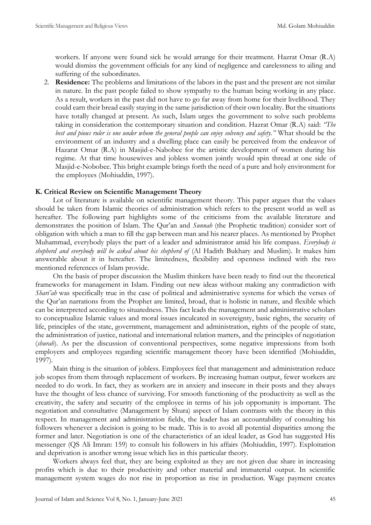workers. If anyone were found sick he would arrange for their treatment. Hazrat Omar (R.A) would dismiss the government officials for any kind of negligence and carelessness to ailing and suffering of the subordinates.

2. **Residence:** The problems and limitations of the labors in the past and the present are not similar in nature. In the past people failed to show sympathy to the human being working in any place. As a result, workers in the past did not have to go far away from home for their livelihood. They could earn their bread easily staying in the same jurisdiction of their own locality. But the situations have totally changed at present. As such, Islam urges the government to solve such problems taking in consideration the contemporary situation and condition. Hazrat Omar (R.A) said: *"The best and pious ruler is one under whom the general people can enjoy solvency and safety."* What should be the environment of an industry and a dwelling place can easily be perceived from the endeavor of Hazarat Omar (R.A) in Masjid-e-Nabobee for the artistic development of women during his regime. At that time housewives and jobless women jointly would spin thread at one side of Masjid-e-Nobobee. This bright example brings forth the need of a pure and holy environment for the employees (Mohiuddin, 1997).

### **K. Critical Review on Scientific Management Theory**

Lot of literature is available on scientific management theory. This paper argues that the values should be taken from Islamic theories of administration which refers to the present world as well as hereafter. The following part highlights some of the criticisms from the available literature and demonstrates the position of Islam. The Qur'an and *Sunnah* (the Prophetic tradition) consider sort of obligation with which a man to fill the gap between man and his nearer places. As mentioned by Prophet Muhammad, everybody plays the part of a leader and administrator amid his life compass. *Everybody is shepherd and everybody will be asked about his shepherd of* (Al Hadith Bukhary and Muslim). It makes him answerable about it in hereafter. The limitedness, flexibility and openness inclined with the two mentioned references of Islam provide.

On the basis of proper discussion the Muslim thinkers have been ready to find out the theoretical frameworks for management in Islam. Finding out new ideas without making any contradiction with *Shari'ah* was specifically true in the case of political and administrative systems for which the verses of the Qur'an narrations from the Prophet are limited, broad, that is holistic in nature, and flexible which can be interpreted according to situatedness. This fact leads the management and administrative scholars to conceptualize Islamic values and moral issues inculcated in sovereignty, basic rights, the security of life, principles of the state, government, management and administration, rights of the people of state, the administration of justice, national and international relation matters, and the principles of negotiation (*shurah*). As per the discussion of conventional perspectives, some negative impressions from both employers and employees regarding scientific management theory have been identified (Mohiuddin, 1997).

Main thing is the situation of jobless. Employees feel that management and administration reduce job scopes from them through replacement of workers. By increasing human output, fewer workers are needed to do work. In fact, they as workers are in anxiety and insecure in their posts and they always have the thought of less chance of surviving. For smooth functioning of the productivity as well as the creativity, the safety and security of the employee in terms of his job opportunity is important. The negotiation and consultative (Management by Shura) aspect of Islam contrasts with the theory in this respect. In management and administration fields, the leader has an accountability of consulting his followers whenever a decision is going to be made. This is to avoid all potential disparities among the former and later. Negotiation is one of the characteristics of an ideal leader, as God has suggested His messenger (QS Ali Imran: 159) to consult his followers in his affairs (Mohiuddin, 1997). Exploitation and deprivation is another wrong issue which lies in this particular theory.

Workers always feel that, they are being exploited as they are not given due share in increasing profits which is due to their productivity and other material and immaterial output. In scientific management system wages do not rise in proportion as rise in production. Wage payment creates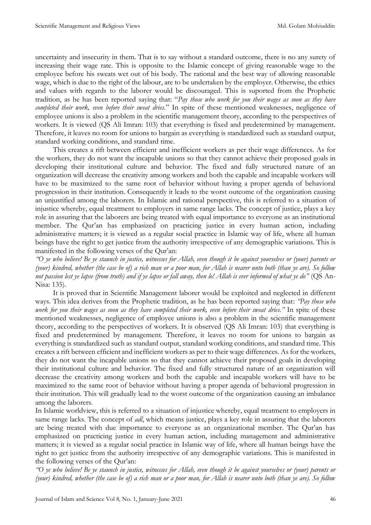uncertainty and insecurity in them. That is to say without a standard outcome, there is no any surety of increasing their wage rate. This is opposite to the Islamic concept of giving reasonable wage to the employee before his sweats wet out of his body. The rational and the best way of allowing reasonable wage, which is due to the right of the labour, are to be undertaken by the employer. Otherwise, the ethics and values with regards to the laborer would be discouraged. This is suported from the Prophetic tradition, as he has been reported saying that: "*Pay those who work for you their wages as soon as they have completed their work, even before their sweat dries*." In spite of these mentioned weaknesses, negligence of employee unions is also a problem in the scientific management theory, according to the perspectives of workers. It is viewed (QS Ali Imran: 103) that everything is fixed and predetermined by management. Therefore, it leaves no room for unions to bargain as everything is standardized such as standard output, standard working conditions, and standard time.

This creates a rift between efficient and inefficient workers as per their wage differences. As for the workers, they do not want the incapable unions so that they cannot achieve their proposed goals in developing their institutional culture and behavior. The fixed and fully structured nature of an organization will decrease the creativity among workers and both the capable and incapable workers will have to be maximized to the same root of behavior without having a proper agenda of behavioral progression in their institution. Consequently it leads to the worst outcome of the organization causing an unjustified among the laborers. In Islamic and rational perspective, this is referred to a situation of injustice whereby, equal treatment to employers in same range lacks. The concept of justice, plays a key role in assuring that the laborers are being treated with equal importance to everyone as an institutional member. The Qur'an has emphasized on practicing justice in every human action, including administrative matters; it is viewed as a regular social practice in Islamic way of life, where all human beings have the right to get justice from the authority irrespective of any demographic variations. This is manifested in the following verses of the Qur'an:

*"O ye who believe! Be ye staunch in justice, witnesses for Allah, even though it be against yourselves or (your) parents or (your) kindred, whether (the case be of) a rich man or a poor man, for Allah is nearer unto both (than ye are). So follow not passion lest ye lapse (from truth) and if ye lapse or fall away, then lo! Allah is ever informed of what ye do"* (QS An-Nisa: 135).

It is proved that in Scientific Management laborer would be exploited and neglected in different ways. This idea derives from the Prophetic tradition, as he has been reported saying that: *"Pay those who work for you their wages as soon as they have completed their work, even before their sweat dries."* In spite of these mentioned weaknesses, negligence of employee unions is also a problem in the scientific management theory, according to the perspectives of workers. It is observed (QS Ali Imran: 103) that everything is fixed and predetermined by management. Therefore, it leaves no room for unions to bargain as everything is standardized such as standard output, standard working conditions, and standard time. This creates a rift between efficient and inefficient workers as per to their wage differences. As for the workers, they do not want the incapable unions so that they cannot achieve their proposed goals in developing their institutional culture and behavior. The fixed and fully structured nature of an organization will decrease the creativity among workers and both the capable and incapable workers will have to be maximized to the same root of behavior without having a proper agenda of behavioral progression in their institution. This will gradually lead to the worst outcome of the organization causing an imbalance among the laborers.

In Islamic worldview, this is referred to a situation of injustice whereby, equal treatment to employers in same range lacks. The concept of *adl*, which means justice, plays a key role in assuring that the laborers are being treated with due importance to everyone as an organizational member. The Qur'an has emphasized on practicing justice in every human action, including management and administrative matters; it is viewed as a regular social practice in Islamic way of life, where all human beings have the right to get justice from the authority irrespective of any demographic variations. This is manifested in the following verses of the Qur'an:

*"O ye who believe! Be ye staunch in justice, witnesses for Allah, even though it be against yourselves or (your) parents or (your) kindred, whether (the case be of) a rich man or a poor man, for Allah is nearer unto both (than ye are). So follow*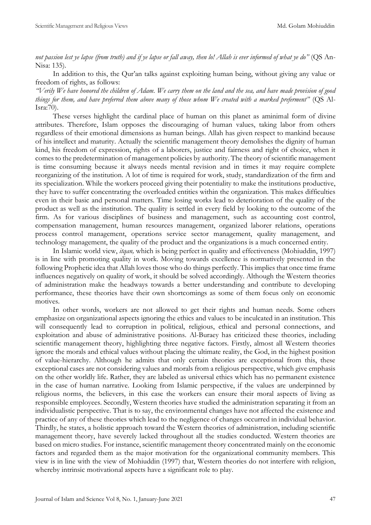*not passion lest ye lapse (from truth) and if ye lapse or fall away, then lo! Allah is ever informed of what ye do"* (QS An-Nisa: 135).

In addition to this, the Qur'an talks against exploiting human being, without giving any value or freedom of rights, as follows:

*"Verily We have honored the children of Adam. We carry them on the land and the sea, and have made provision of good things for them, and have preferred them above many of those whom We created with a marked preferment"* (QS Al-Isra:70).

These verses highlight the cardinal place of human on this planet as aminimal form of divine attributes. Therefore, Islam opposes the discouraging of human values, taking labor from others regardless of their emotional dimensions as human beings. Allah has given respect to mankind because of his intellect and maturity. Actually the scientific management theory demolishes the dignity of human kind, his freedom of expression, rights of a laborers, justice and fairness and right of choice, when it comes to the predetermination of management policies by authority. The theory of scientific management is time consuming because it always needs mental revision and in times it may require complete reorganizing of the institution. A lot of time is required for work, study, standardization of the firm and its specialization. While the workers proceed giving their potentiality to make the institutions productive, they have to suffer concentrating the overloaded entities within the organization. This makes difficulties even in their basic and personal matters. Time losing works lead to deterioration of the quality of the product as well as the institution. The quality is settled in every field by looking to the outcome of the firm. As for various disciplines of business and management, such as accounting cost control, compensation management, human resources management, organized laborer relations, operations process control management, operations service sector management, quality management, and technology management, the quality of the product and the organizations is a much concerned entity.

In Islamic world view, *itqan,* which is being perfect in quality and effectiveness (Mohiuddin, 1997) is in line with promoting quality in work. Moving towards excellence is normatively presented in the following Prophetic idea that Allah loves those who do things perfectly. This implies that once time frame influences negatively on quality of work, it should be solved accordingly. Although the Western theories of administration make the headways towards a better understanding and contribute to developing performance, these theories have their own shortcomings as some of them focus only on economic motives.

In other words, workers are not allowed to get their rights and human needs. Some others emphasize on organizational aspects ignoring the ethics and values to be inculcated in an institution. This will consequently lead to corruption in political, religious, ethical and personal connections, and exploitation and abuse of administrative positions. Al-Buraey has criticized these theories, including scientific management theory, highlighting three negative factors. Firstly, almost all Western theories ignore the morals and ethical values without placing the ultimate reality, the God, in the highest position of value-hierarchy. Although he admits that only certain theories are exceptional from this, these exceptional cases are not considering values and morals from a religious perspective, which give emphasis on the other worldly life. Rather, they are labeled as universal ethics which has no permanent existence in the case of human narrative. Looking from Islamic perspective, if the values are underpinned by religious norms, the believers, in this case the workers can ensure their moral aspects of living as responsible employees. Secondly, Western theories have studied the administration separating it from an individualistic perspective. That is to say, the environmental changes have not affected the existence and practice of any of these theories which lead to the negligence of changes occurred in individual behavior. Thirdly, he states, a holistic approach toward the Western theories of administration, including scientific management theory, have severely lacked throughout all the studies conducted. Western theories are based on micro studies. For instance, scientific management theory concentrated mainly on the economic factors and regarded them as the major motivation for the organizational community members. This view is in line with the view of Mohiuddin (1997) that, Western theories do not interfere with religion, whereby intrinsic motivational aspects have a significant role to play.